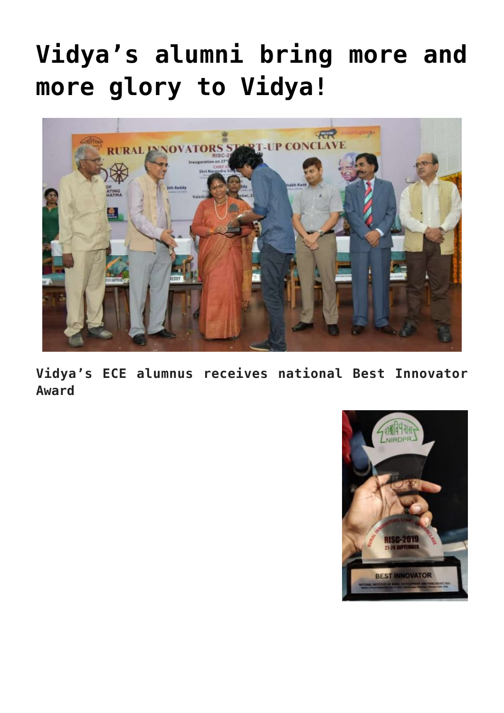## **[Vidya's alumni bring more and](https://news.vidyaacademy.ac.in/2019/10/02/vidyas-alumni-bring-more-and-more-glory-to-vidya/) [more glory to Vidya!](https://news.vidyaacademy.ac.in/2019/10/02/vidyas-alumni-bring-more-and-more-glory-to-vidya/)**



**Vidya's ECE alumnus receives national Best Innovator Award**

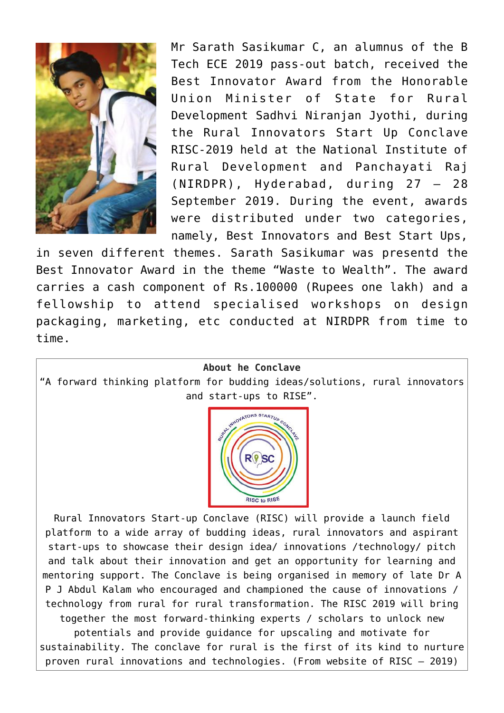

Mr Sarath Sasikumar C, an alumnus of the B Tech ECE 2019 pass-out batch, received the Best Innovator Award from the Honorable Union Minister of State for Rural Development Sadhvi Niranjan Jyothi, during the Rural Innovators Start Up Conclave RISC-2019 held at the National Institute of Rural Development and Panchayati Raj (NIRDPR), Hyderabad, during 27 – 28 September 2019. During the event, awards were distributed under two categories, namely, Best Innovators and Best Start Ups,

in seven different themes. Sarath Sasikumar was presentd the Best Innovator Award in the theme "Waste to Wealth". The award carries a cash component of Rs.100000 (Rupees one lakh) and a fellowship to attend specialised workshops on design packaging, marketing, etc conducted at NIRDPR from time to time.

## **About he Conclave**

"A forward thinking platform for budding ideas/solutions, rural innovators and start-ups to RISE".



Rural Innovators Start-up Conclave (RISC) will provide a launch field platform to a wide array of budding ideas, rural innovators and aspirant start-ups to showcase their design idea/ innovations /technology/ pitch and talk about their innovation and get an opportunity for learning and mentoring support. The Conclave is being organised in memory of late Dr A P J Abdul Kalam who encouraged and championed the cause of innovations / technology from rural for rural transformation. The RISC 2019 will bring together the most forward-thinking experts / scholars to unlock new potentials and provide guidance for upscaling and motivate for sustainability. The conclave for rural is the first of its kind to nurture proven rural innovations and technologies. (From website of [RISC – 2019\)](http://www.nirdpr.org.in/risc2019/)